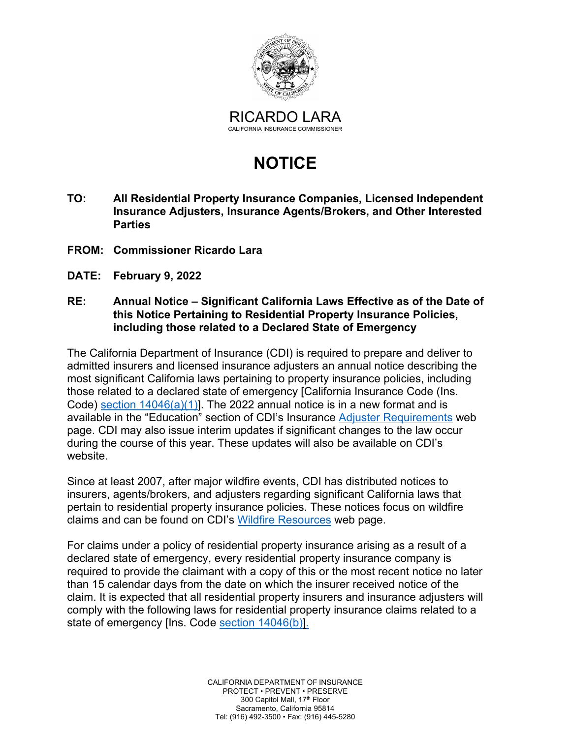

# **NOTICE**

- **TO: All Residential Property Insurance Companies, Licensed Independent Insurance Adjusters, Insurance Agents/Brokers, and Other Interested Parties**
- **FROM: Commissioner Ricardo Lara**
- **DATE: February 9, 2022**

#### **RE: Annual Notice – Significant California Laws Effective as of the Date of this Notice Pertaining to Residential Property Insurance Policies, including those related to a Declared State of Emergency**

Code) <u>section 14046(a)(1)</u>]. The 2022 annual notice is in a new format and is page. CDI may also issue interim updates if significant changes to the law occur website. The California Department of Insurance (CDI) is required to prepare and deliver to admitted insurers and licensed insurance adjusters an annual notice describing the most significant California laws pertaining to property insurance policies, including those related to a declared state of emergency [California Insurance Code (Ins. available in the "Education" section of CDI's Insurance [Adjuster Requirements](http://www.insurance.ca.gov/0200-industry/0050-renew-license/0200-requirements/insurance-adjuster.cfm) web during the course of this year. These updates will also be available on CDI's

claims and can be found on CDI's <u>Wildfire Resources</u> web page. Since at least 2007, after major wildfire events, CDI has distributed notices to insurers, agents/brokers, and adjusters regarding significant California laws that pertain to residential property insurance policies. These notices focus on wildfire

 required to provide the claimant with a copy of this or the most recent notice no later comply with the following laws for residential property insurance claims related to a state of emergency [Ins. Code <u>section 14046(b)].</u><br>CALIFORNIA DEPARTMENT OF INSURANCE For claims under a policy of residential property insurance arising as a result of a declared state of emergency, every residential property insurance company is than 15 calendar days from the date on which the insurer received notice of the claim. It is expected that all residential property insurers and insurance adjusters will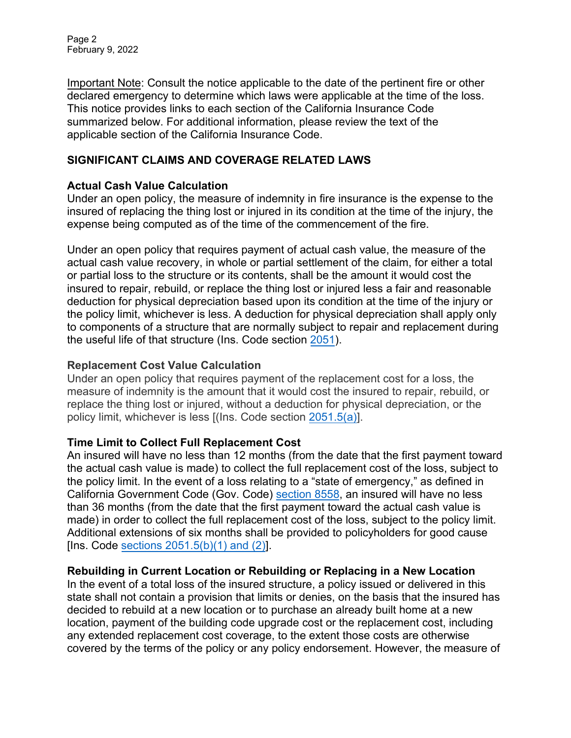Page 2 February 9, 2022

 declared emergency to determine which laws were applicable at the time of the loss. Important Note: Consult the notice applicable to the date of the pertinent fire or other This notice provides links to each section of the California Insurance Code summarized below. For additional information, please review the text of the applicable section of the California Insurance Code.

## **SIGNIFICANT CLAIMS AND COVERAGE RELATED LAWS**

#### **Actual Cash Value Calculation**

 insured of replacing the thing lost or injured in its condition at the time of the injury, the Under an open policy, the measure of indemnity in fire insurance is the expense to the expense being computed as of the time of the commencement of the fire.

 or partial loss to the structure or its contents, shall be the amount it would cost the Under an open policy that requires payment of actual cash value, the measure of the actual cash value recovery, in whole or partial settlement of the claim, for either a total insured to repair, rebuild, or replace the thing lost or injured less a fair and reasonable deduction for physical depreciation based upon its condition at the time of the injury or the policy limit, whichever is less. A deduction for physical depreciation shall apply only to components of a structure that are normally subject to repair and replacement during the useful life of that structure (Ins. Code sectio[n 2051\).](https://leginfo.legislature.ca.gov/faces/codes_displaySection.xhtml?lawCode=INS§ionNum=2051.) 

## **Replacement Cost Value Calculation**

Under an open policy that requires payment of the replacement cost for a loss, the measure of indemnity is the amount that it would cost the insured to repair, rebuild, or replace the thing lost or injured, without a deduction for physical depreciation, or the policy limit, whichever is less [(Ins. Code sectio[n 2051.5\(a\)\]](https://leginfo.legislature.ca.gov/faces/codes_displaySection.xhtml?lawCode=INS§ionNum=2051.5).

#### **Time Limit to Collect Full Replacement Cost**

 the actual cash value is made) to collect the full replacement cost of the loss, subject to Additional extensions of six months shall be provided to policyholders for good cause An insured will have no less than 12 months (from the date that the first payment toward the policy limit. In the event of a loss relating to a "state of emergency," as defined in California Government Code (Gov. Code) [section 8558,](https://leginfo.legislature.ca.gov/faces/codes_displaySection.xhtml?lawCode=GOV§ionNum=8558.) an insured will have no less than 36 months (from the date that the first payment toward the actual cash value is made) in order to collect the full replacement cost of the loss, subject to the policy limit. [Ins. Code sections  $2051.5(b)(1)$  and  $(2)$ ].

#### **Rebuilding in Current Location or Rebuilding or Replacing in a New Location**

In the event of a total loss of the insured structure, a policy issued or delivered in this state shall not contain a provision that limits or denies, on the basis that the insured has decided to rebuild at a new location or to purchase an already built home at a new location, payment of the building code upgrade cost or the replacement cost, including any extended replacement cost coverage, to the extent those costs are otherwise covered by the terms of the policy or any policy endorsement. However, the measure of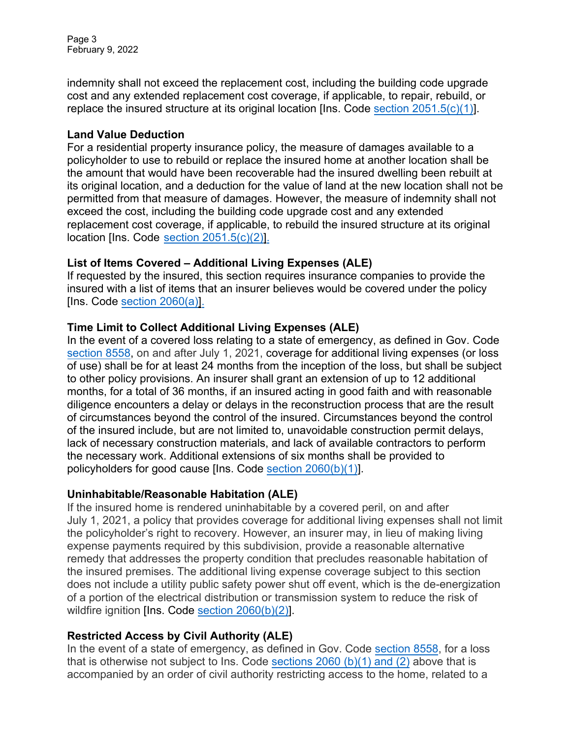Page 3 February 9, 2022

replace the insured structure at its original location [Ins. Code <u>section 2051.5(c)(1)]</u>. indemnity shall not exceed the replacement cost, including the building code upgrade cost and any extended replacement cost coverage, if applicable, to repair, rebuild, or

## **Land Value Deduction**

 For a residential property insurance policy, the measure of damages available to a policyholder to use to rebuild or replace the insured home at another location shall be the amount that would have been recoverable had the insured dwelling been rebuilt at its original location, and a deduction for the value of land at the new location shall not be permitted from that measure of damages. However, the measure of indemnity shall not exceed the cost, including the building code upgrade cost and any extended replacement cost coverage, if applicable, to rebuild the insured structure at its original location [Ins. Code <u>[section 2051.5\(c\)\(2\)\].](https://leginfo.legislature.ca.gov/faces/codes_displaySection.xhtml?lawCode=INS§ionNum=2051.5.)</u>

## **List of Items Covered – Additional Living Expenses (ALE)**

If requested by the insured, this section requires insurance companies to provide the insured with a list of items that an insurer believes would be covered under the policy [Ins. Code [section 2060\(a\)\]](https://leginfo.legislature.ca.gov/faces/codes_displaySection.xhtml?lawCode=INS§ionNum=2060.).

# **Time Limit to Collect Additional Living Expenses (ALE)**

 [section 8558,](https://leginfo.legislature.ca.gov/faces/codes_displaySection.xhtml?lawCode=GOV§ionNum=8558.) on and after July 1, 2021, coverage for additional living expenses (or loss diligence encounters a delay or delays in the reconstruction process that are the result lack of necessary construction materials, and lack of available contractors to perform policyholders for good cause [Ins. Code <u>section 2060(b)(1)]</u>. In the event of a covered loss relating to a state of emergency, as defined in Gov. Code of use) shall be for at least 24 months from the inception of the loss, but shall be subject to other policy provisions. An insurer shall grant an extension of up to 12 additional months, for a total of 36 months, if an insured acting in good faith and with reasonable of circumstances beyond the control of the insured. Circumstances beyond the control of the insured include, but are not limited to, unavoidable construction permit delays, the necessary work. Additional extensions of six months shall be provided to

#### **Uninhabitable/Reasonable Habitation (ALE)**

 July 1, 2021, a policy that provides coverage for additional living expenses shall not limit wildfire ignition [Ins. Code <u>section 2060(b)(2)]</u> . If the insured home is rendered uninhabitable by a covered peril, on and after the policyholder's right to recovery. However, an insurer may, in lieu of making living expense payments required by this subdivision, provide a reasonable alternative remedy that addresses the property condition that precludes reasonable habitation of the insured premises. The additional living expense coverage subject to this section does not include a utility public safety power shut off event, which is the de-energization of a portion of the electrical distribution or transmission system to reduce the risk of

# **Restricted Access by Civil Authority (ALE)**

In the event of a state of emergency, as defined in Gov. Code [section 8558,](https://leginfo.legislature.ca.gov/faces/codes_displaySection.xhtml?lawCode=GOV§ionNum=8558.) for a loss that is otherwise not subject to Ins. Cod[e sections 2060 \(b\)\(1\)](https://leginfo.legislature.ca.gov/faces/codes_displaySection.xhtml?lawCode=INS§ionNum=2060.) and (2) above that is accompanied by an order of civil authority restricting access to the home, related to a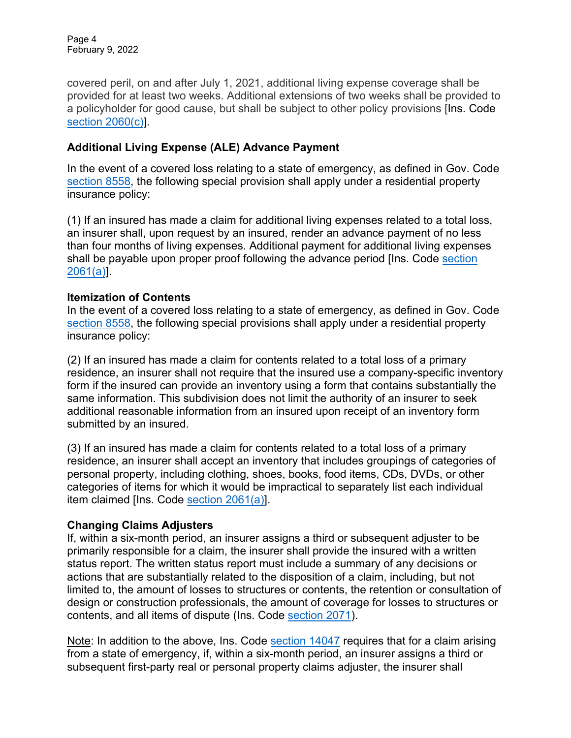Page 4 February 9, 2022

covered peril, on and after July 1, 2021, additional living expense coverage shall be provided for at least two weeks. Additional extensions of two weeks shall be provided to a policyholder for good cause, but shall be subject to other policy provisions [Ins. Code [section 2060\(c\)\]](https://leginfo.legislature.ca.gov/faces/codes_displaySection.xhtml?lawCode=INS§ionNum=2060.).

## **Additional Living Expense (ALE) Advance Payment**

 In the event of a covered loss relating to a state of emergency, as defined in Gov. Code [section 8558,](https://leginfo.legislature.ca.gov/faces/codes_displaySection.xhtml?lawCode=GOV§ionNum=8558.) the following special provision shall apply under a residential property insurance policy:

 (1) If an insured has made a claim for additional living expenses related to a total loss, an insurer shall, upon request by an insured, render an advance payment of no less than four months of living expenses. Additional payment for additional living expenses shall be payable upon proper proof following the advance period [Ins. Code <u>section</u> [2061\(a\)\]](https://leginfo.legislature.ca.gov/faces/codes_displaySection.xhtml?lawCode=INS§ionNum=2061.).

#### **Itemization of Contents**

 In the event of a covered loss relating to a state of emergency, as defined in Gov. Code [section 8558,](https://leginfo.legislature.ca.gov/faces/codes_displaySection.xhtml?lawCode=GOV§ionNum=8558.) the following special provisions shall apply under a residential property insurance policy:

 (2) If an insured has made a claim for contents related to a total loss of a primary residence, an insurer shall not require that the insured use a company-specific inventory form if the insured can provide an inventory using a form that contains substantially the same information. This subdivision does not limit the authority of an insurer to seek additional reasonable information from an insured upon receipt of an inventory form submitted by an insured.

 (3) If an insured has made a claim for contents related to a total loss of a primary residence, an insurer shall accept an inventory that includes groupings of categories of personal property, including clothing, shoes, books, food items, CDs, DVDs, or other categories of items for which it would be impractical to separately list each individual item claimed [Ins. Code <u>section 2061(a)</u>].

#### **Changing Claims Adjusters**

 primarily responsible for a claim, the insurer shall provide the insured with a written If, within a six-month period, an insurer assigns a third or subsequent adjuster to be status report. The written status report must include a summary of any decisions or actions that are substantially related to the disposition of a claim, including, but not limited to, the amount of losses to structures or contents, the retention or consultation of design or construction professionals, the amount of coverage for losses to structures or contents, and all items of dispute (Ins. Code [section 2071\)](https://leginfo.legislature.ca.gov/faces/codes_displaySection.xhtml?lawCode=INS§ionNum=2071.).

<u>Note</u>: In addition to the above, Ins. Code <u>section 14047</u> requires that for a claim arising from a state of emergency, if, within a six-month period, an insurer assigns a third or subsequent first-party real or personal property claims adjuster, the insurer shall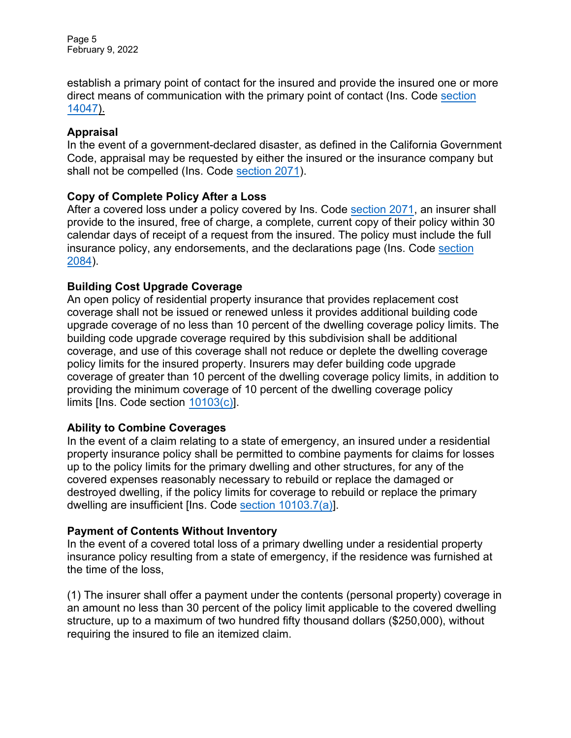Page 5 February 9, 2022

direct means of communication with the primary point of contact (Ins. Code <u>section</u> establish a primary point of contact for the insured and provide the insured one or more [14047\)](https://leginfo.legislature.ca.gov/faces/codes_displaySection.xhtml?lawCode=INS§ionNum=14047.).

## **Appraisal**

shall not be compelled (Ins. Code <u>section 2071</u>). In the event of a government-declared disaster, as defined in the California Government Code, appraisal may be requested by either the insured or the insurance company but

## **Copy of Complete Policy After a Loss**

insurance policy, any endorsements, and the declarations page (Ins. Code <u>section</u> After a covered loss under a policy covered by Ins. Code [section 2071,](https://leginfo.legislature.ca.gov/faces/codes_displaySection.xhtml?lawCode=INS§ionNum=2071.) an insurer shall provide to the insured, free of charge, a complete, current copy of their policy within 30 calendar days of receipt of a request from the insured. The policy must include the full [2084\)](https://leginfo.legislature.ca.gov/faces/codes_displaySection.xhtml?lawCode=INS§ionNum=2084.).

## **Building Cost Upgrade Coverage**

 An open policy of residential property insurance that provides replacement cost coverage shall not be issued or renewed unless it provides additional building code upgrade coverage of no less than 10 percent of the dwelling coverage policy limits. The building code upgrade coverage required by this subdivision shall be additional coverage, and use of this coverage shall not reduce or deplete the dwelling coverage policy limits for the insured property. Insurers may defer building code upgrade coverage of greater than 10 percent of the dwelling coverage policy limits, in addition to providing the minimum coverage of 10 percent of the dwelling coverage policy limits [Ins. Code section <u>10103(c)]</u>.

# **Ability to Combine Coverages**

In the event of a claim relating to a state of emergency, an insured under a residential property insurance policy shall be permitted to combine payments for claims for losses up to the policy limits for the primary dwelling and other structures, for any of the covered expenses reasonably necessary to rebuild or replace the damaged or destroyed dwelling, if the policy limits for coverage to rebuild or replace the primary dwelling are insufficient [Ins. Cod[e section 10103.7\(a\)\]](https://leginfo.legislature.ca.gov/faces/codes_displaySection.xhtml?lawCode=INS§ionNum=10103.7.).

# **Payment of Contents Without Inventory**

 the time of the loss, In the event of a covered total loss of a primary dwelling under a residential property insurance policy resulting from a state of emergency, if the residence was furnished at

(1) The insurer shall offer a payment under the contents (personal property) coverage in an amount no less than 30 percent of the policy limit applicable to the covered dwelling structure, up to a maximum of two hundred fifty thousand dollars (\$250,000), without requiring the insured to file an itemized claim.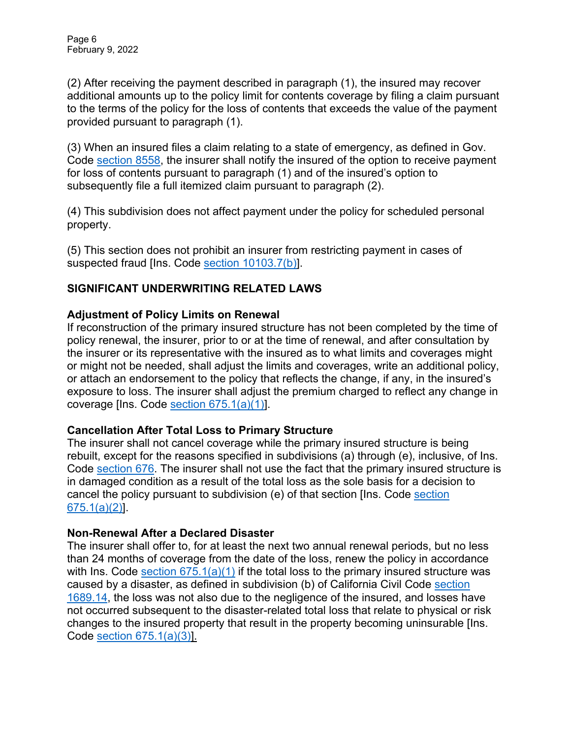(2) After receiving the payment described in paragraph (1), the insured may recover additional amounts up to the policy limit for contents coverage by filing a claim pursuant to the terms of the policy for the loss of contents that exceeds the value of the payment provided pursuant to paragraph (1).

(3) When an insured files a claim relating to a state of emergency, as defined in Gov. Code [section 8558,](https://leginfo.legislature.ca.gov/faces/codes_displaySection.xhtml?lawCode=GOV§ionNum=8558.) the insurer shall notify the insured of the option to receive payment for loss of contents pursuant to paragraph (1) and of the insured's option to subsequently file a full itemized claim pursuant to paragraph (2).

(4) This subdivision does not affect payment under the policy for scheduled personal property.

 (5) This section does not prohibit an insurer from restricting payment in cases of suspected fraud [Ins. Code <u>section 10103.7(b)]</u>.

# **SIGNIFICANT UNDERWRITING RELATED LAWS**

# **Adjustment of Policy Limits on Renewal**

coverage [Ins. Code <u>section 675.1(a)(1)</u>]. If reconstruction of the primary insured structure has not been completed by the time of policy renewal, the insurer, prior to or at the time of renewal, and after consultation by the insurer or its representative with the insured as to what limits and coverages might or might not be needed, shall adjust the limits and coverages, write an additional policy, or attach an endorsement to the policy that reflects the change, if any, in the insured's exposure to loss. The insurer shall adjust the premium charged to reflect any change in

# **Cancellation After Total Loss to Primary Structure**

cancel the policy pursuant to subdivision (e) of that [section](https://leginfo.legislature.ca.gov/faces/codes_displaySection.xhtml?lawCode=INS§ionNum=675.1.) [Ins. Code <u>section</u> The insurer shall not cancel coverage while the primary insured structure is being rebuilt, except for the reasons specified in subdivisions (a) through (e), inclusive, of Ins. Code [section 676.](https://leginfo.legislature.ca.gov/faces/codes_displaySection.xhtml?lawCode=INS§ionNum=676.) The insurer shall not use the fact that the primary insured structure is in damaged condition as a result of the total loss as the sole basis for a decision to [675.1\(a\)\(2\)\]](https://leginfo.legislature.ca.gov/faces/codes_displaySection.xhtml?lawCode=INS§ionNum=675.1.).

# **Non-Renewal After a Declared Disaster**

 The insurer shall offer to, for at least the next two annual renewal periods, but no less than 24 months of coverage from the date of the loss, renew the policy in accordance with Ins. Code section  $675.1(a)(1)$  if the total loss to the primary insured structure was caused by a disaster, as defined in subdivision (b) of California Civil Code [section](https://leginfo.legislature.ca.gov/faces/codes_displaySection.xhtml?lawCode=CIV§ionNum=1689.14.)  [1689.14,](https://leginfo.legislature.ca.gov/faces/codes_displaySection.xhtml?lawCode=CIV§ionNum=1689.14.) the loss was not also due to the negligence of the insured, and losses have not occurred subsequent to the disaster-related total loss that relate to physical or risk changes to the insured property that result in the property becoming uninsurable [Ins. Code [section 675.1\(a\)\(3\)\]](https://leginfo.legislature.ca.gov/faces/codes_displaySection.xhtml?lawCode=INS§ionNum=675.1.).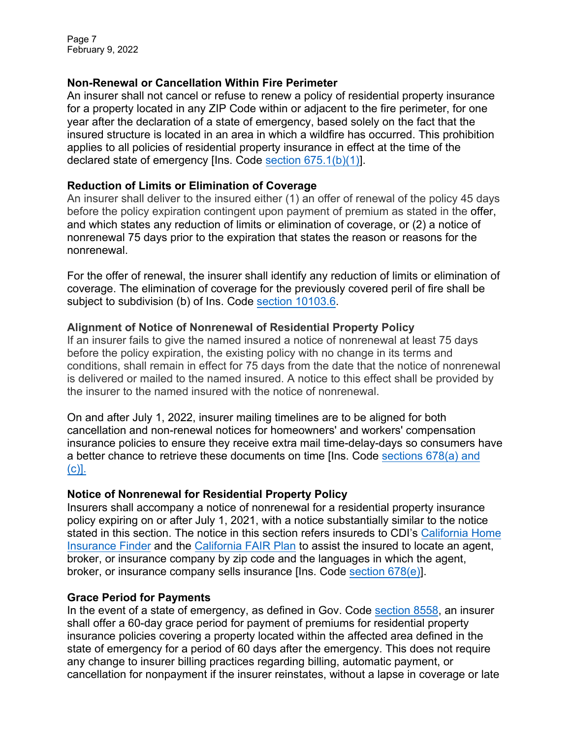Page 7 February 9, 2022

# **Non-Renewal or Cancellation Within Fire Perimeter**

declared state of emergency [Ins. Code <u>section 675.1(b)(1)]</u>. An insurer shall not cancel or refuse to renew a policy of residential property insurance for a property located in any ZIP Code within or adjacent to the fire perimeter, for one year after the declaration of a state of emergency, based solely on the fact that the insured structure is located in an area in which a wildfire has occurred. This prohibition applies to all policies of residential property insurance in effect at the time of the

#### **Reduction of Limits or Elimination of Coverage**

 and which states any reduction of limits or elimination of coverage, or (2) a notice of An insurer shall deliver to the insured either (1) an offer of renewal of the policy 45 days before the policy expiration contingent upon payment of premium as stated in the offer, nonrenewal 75 days prior to the expiration that states the reason or reasons for the nonrenewal.

 For the offer of renewal, the insurer shall identify any reduction of limits or elimination of coverage. The elimination of coverage for the previously covered peril of fire shall be subject to subdivision (b) of Ins. Code <u>section 10103.6</u>.

## **Alignment of Notice of Nonrenewal of Residential Property Policy**

 If an insurer fails to give the named insured a notice of nonrenewal at least 75 days before the policy expiration, the existing policy with no change in its terms and conditions, shall remain in effect for 75 days from the date that the notice of nonrenewal is delivered or mailed to the named insured. A notice to this effect shall be provided by the insurer to the named insured with the notice of nonrenewal.

 On and after July 1, 2022, insurer mailing timelines are to be aligned for both a better chance to retrieve these documents on time [Ins. Code <u>sections 678(a) and</u> cancellation and non-renewal notices for homeowners' and workers' compensation insurance policies to ensure they receive extra mail time-delay-days so consumers have [\(c\)\]](https://leginfo.legislature.ca.gov/faces/codes_displaySection.xhtml?lawCode=INS§ionNum=678.).

## **Notice of Nonrenewal for Residential Property Policy**

 Insurers shall accompany a notice of nonrenewal for a residential property insurance policy expiring on or after July 1, 2021, with a notice substantially similar to the notice stated in this section. The notice in this section refers insureds to CDI's <u>California Home</u> [Insurance](https://interactive.web.insurance.ca.gov/apex_extprd/f?p=400:50) Finder and th[e California FAIR Plan](https://www.cfpnet.com/) to assist the insured to locate an agent, broker, or insurance company by zip code and the languages in which the agent, broker, or insurance company sells insurance [Ins. Code <u>section 678(e)</u>].

# **Grace Period for Payments**

In the event of a state of emergency, as defined in Gov. Code <u>section 8558</u>, an insurer shall offer a 60-day grace period for payment of premiums for residential property insurance policies covering a property located within the affected area defined in the state of emergency for a period of 60 days after the emergency. This does not require any change to insurer billing practices regarding billing, automatic payment, or cancellation for nonpayment if the insurer reinstates, without a lapse in coverage or late